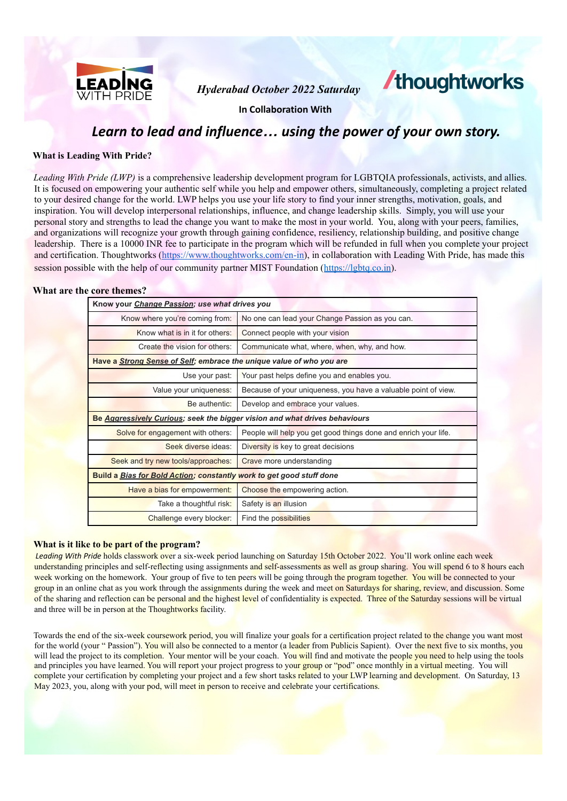

*Hyderabad October 2022 Saturday*

# **/thoughtworks**

**In Collaboration With**

# *Learn to lead and influence… using the power of your own story.*

### **What is Leading With Pride?**

*Leading With Pride (LWP)* is a comprehensive leadership development program for LGBTQIA professionals, activists, and allies. It is focused on empowering your authentic self while you help and empower others, simultaneously, completing a project related to your desired change for the world. LWP helps you use your life story to find your inner strengths, motivation, goals, and inspiration. You will develop interpersonal relationships, influence, and change leadership skills. Simply, you will use your personal story and strengths to lead the change you want to make the most in your world. You, along with your peers, families, and organizations will recognize your growth through gaining confidence, resiliency, relationship building, and positive change leadership. There is a 10000 INR fee to participate in the program which will be refunded in full when you complete your project and certification. Thoughtworks [\(https://www.thoughtworks.com/en-in\)](https://www.thoughtworks.com/en-in), in collaboration with Leading With Pride, has made this session possible with the help of our community partner MIST Foundation (https://lgbtq.co.in).

#### **What are the core themes?**

| Know your <i>Change Passion; use what drives you</i>                        |                                                                 |  |  |
|-----------------------------------------------------------------------------|-----------------------------------------------------------------|--|--|
| Know where you're coming from:                                              | No one can lead your Change Passion as you can.                 |  |  |
| Know what is in it for others:                                              | Connect people with your vision                                 |  |  |
| Create the vision for others:                                               | Communicate what, where, when, why, and how.                    |  |  |
| Have a Strong Sense of Self; embrace the unique value of who you are        |                                                                 |  |  |
| Use your past:                                                              | Your past helps define you and enables you.                     |  |  |
| Value your uniqueness:                                                      | Because of your uniqueness, you have a valuable point of view.  |  |  |
| Be authentic:                                                               | Develop and embrace your values.                                |  |  |
| Be Aggressively Curious; seek the bigger vision and what drives behaviours  |                                                                 |  |  |
| Solve for engagement with others:                                           | People will help you get good things done and enrich your life. |  |  |
| Seek diverse ideas:                                                         | Diversity is key to great decisions                             |  |  |
| Seek and try new tools/approaches:                                          | Crave more understanding                                        |  |  |
| <b>Build a Bias for Bold Action; constantly work to get good stuff done</b> |                                                                 |  |  |
| Have a bias for empowerment:                                                | Choose the empowering action.                                   |  |  |
| Take a thoughtful risk:                                                     | Safety is an illusion                                           |  |  |
| Challenge every blocker:                                                    | Find the possibilities                                          |  |  |

#### **What is it like to be part of the program?**

*Leading With Pride* holds classwork over a six-week period launching on Saturday 15th October 2022. You'll work online each week understanding principles and self-reflecting using assignments and self-assessments as well as group sharing. You will spend 6 to 8 hours each week working on the homework. Your group of five to ten peers will be going through the program together. You will be connected to your group in an online chat as you work through the assignments during the week and meet on Saturdays for sharing, review, and discussion. Some of the sharing and reflection can be personal and the highest level of confidentiality is expected. Three of the Saturday sessions will be virtual and three will be in person at the Thoughtworks facility.

Towards the end of the six-week coursework period, you will finalize your goals for a certification project related to the change you want most for the world (your "Passion"). You will also be connected to a mentor (a leader from Publicis Sapient). Over the next five to six months, you will lead the project to its completion. Your mentor will be your coach. You will find and motivate the people you need to help using the tools and principles you have learned. You will report your project progress to your group or "pod" once monthly in a virtual meeting. You will complete your certification by completing your project and a few short tasks related to your LWP learning and development. On Saturday, 13 May 2023, you, along with your pod, will meet in person to receive and celebrate your certifications.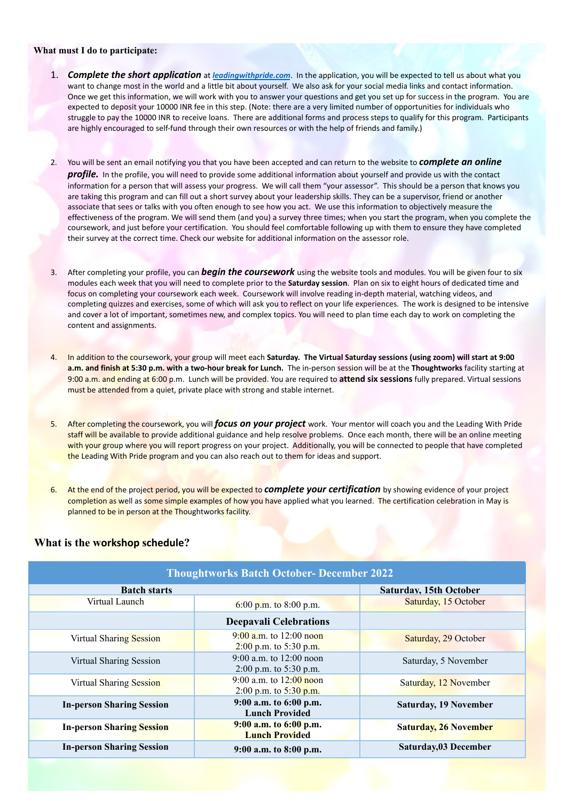#### **What must I do to participate:**

- 1. *Complete the short application* at *leadingwithpride.com*. In the application, you will be expected to tell us about what you want to change most in the world and a little bit about yourself. We also ask for your social media links and contact information. Once we get this information, we will work with you to answer your questions and get you set up for success in the program. You are expected to deposit your 10000 INR fee in this step. (Note: there are a very limited number of opportunities for individuals who struggle to pay the 10000 INR to receive loans. There are additional forms and process steps to qualify for this program. Participants are highly encouraged to self-fund through their own resources or with the help of friends and family.)
- 2. You will be sent an email notifying you that you have been accepted and can return to the website to *complete an online profile.* In the profile, you will need to provide some additional information about yourself and provide us with the contact information for a person that will assess your progress. We will call them "your assessor". This should be a person that knows you are taking this program and can fill out a short survey about your leadership skills. They can be a supervisor, friend or another associate that sees or talks with you often enough to see how you act. We use this information to objectively measure the effectiveness of the program. We will send them (and you) a survey three times; when you start the program, when you complete the coursework, and just before your certification. You should feel comfortable following up with them to ensure they have completed their survey at the correct time. Check our website for additional information on the assessor role.
- 3. After completing your profile, you can *begin the coursework* using the website tools and modules. You will be given four to six modules each week that you will need to complete prior to the **Saturday session**. Plan on six to eight hours of dedicated time and focus on completing your coursework each week. Coursework will involve reading in-depth material, watching videos, and completing quizzes and exercises, some of which will ask you to reflect on your life experiences. The work is designed to be intensive and cover a lot of important, sometimes new, and complex topics. You will need to plan time each day to work on completing the content and assignments.
- 4. In addition to the coursework, your group will meet each **Saturday. The Virtual Saturday sessions (using zoom) will start at 9:00 a.m. and finish at 5:30 p.m. with a two-hour break for Lunch.** The in-person session will be at the **Thoughtworks** facility starting at 9:00 a.m. and ending at 6:00 p.m. Lunch will be provided. You are required to **attend six sessions** fully prepared. Virtual sessions must be attended from a quiet, private place with strong and stable internet.
- 5. After completing the coursework, you will *focus on your project* work. Your mentor will coach you and the Leading With Pride staff will be available to provide additional guidance and help resolve problems. Once each month, there will be an online meeting with your group where you will report progress on your project. Additionally, you will be connected to people that have completed the Leading With Pride program and you can also reach out to them for ideas and support.
- 6. At the end of the project period, you will be expected to *complete your certification* by showing evidence of your project completion as well as some simple examples of how you have applied what you learned. The certification celebration in May is planned to be in person at the Thoughtworks facility.

## **What is the workshop schedule?**

| <b>Thoughtworks Batch October- December 2022</b> |                                                       |                               |  |
|--------------------------------------------------|-------------------------------------------------------|-------------------------------|--|
| <b>Batch starts</b>                              |                                                       | <b>Saturday, 15th October</b> |  |
| Virtual Launch                                   | 6:00 p.m. to 8:00 p.m.                                | Saturday, 15 October          |  |
|                                                  | <b>Deepavali Celebrations</b>                         |                               |  |
| <b>Virtual Sharing Session</b>                   | $9:00$ a.m. to 12:00 noon<br>2:00 p.m. to 5:30 p.m.   | Saturday, 29 October          |  |
| Virtual Sharing Session                          | $9:00$ a.m. to 12:00 noon<br>2:00 p.m. to 5:30 p.m.   | Saturday, 5 November          |  |
| <b>Virtual Sharing Session</b>                   | 9:00 a.m. to $12:00$ noon<br>2:00 p.m. to $5:30$ p.m. | Saturday, 12 November         |  |
| <b>In-person Sharing Session</b>                 | 9:00 a.m. to 6:00 p.m.<br><b>Lunch Provided</b>       | <b>Saturday, 19 November</b>  |  |
| <b>In-person Sharing Session</b>                 | $9:00$ a.m. to $6:00$ p.m.<br><b>Lunch Provided</b>   | <b>Saturday, 26 November</b>  |  |
| <b>In-person Sharing Session</b>                 | $9:00$ a.m. to $8:00$ p.m.                            | Saturday, 03 December         |  |